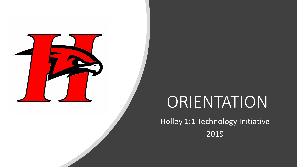

# ORIENTATION

Holley 1:1 Technology Initiative 2019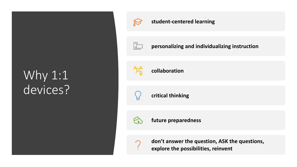# Why 1:1 devices?



#### **student-centered learning**



**personalizing and individualizing instruction**



**collaboration**

**critical thinking**



**future preparedness**

 $\bigcap$ 

**don't answer the question, ASK the questions, explore the possibilities, reinvent**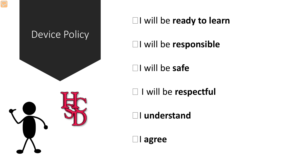

### I will be **ready to learn**

I will be **responsible**

I will be **safe**

I will be **respectful**

I **understand**

I **agree**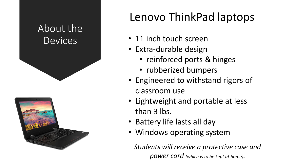

## Lenovo ThinkPad laptops

- 11 inch touch screen
- Extra-durable design
	- reinforced ports & hinges
	- rubberized bumpers
- Engineered to withstand rigors of classroom use
- Lightweight and portable at less than 3 lbs.
- Battery life lasts all day
- Windows operating system

*Students will receive a protective case and power cord (which is to be kept at home).*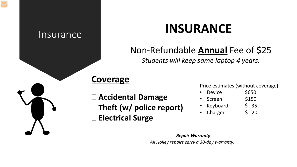# Insurance **INSURANCE**

### Non-Refundable **Annual** Fee of \$25

*Students will keep same laptop 4 years.*

### **Coverage**

 **Accidental Damage Theft (w/ police report) Electrical Surge**

| Price estimates (without coverage): |                  |
|-------------------------------------|------------------|
| <b>Device</b>                       | \$650            |
| • Screen                            | \$150            |
| Keyboard                            | $5\overline{35}$ |
| Charger                             | 520              |

*Repair Warranty*

*All Holley repairs carry a 30-day warranty.*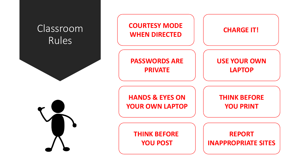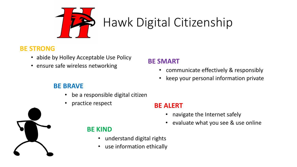

# Hawk Digital Citizenship

### **BE STRONG**

- abide by Holley Acceptable Use Policy
- **e** ensure safe wireless networking **BE SMART**

- communicate effectively & responsibly
- keep your personal information private

#### **BE BRAVE**

- be a responsible digital citizen
- practice respect **BE ALERT**

- navigate the Internet safely
- evaluate what you see & use online



### **BE KIND**

- understand digital rights
- use information ethically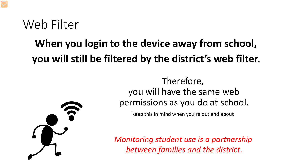## Web Filter

## **When you login to the device away from school, you will still be filtered by the district's web filter.**

### Therefore, you will have the same web permissions as you do at school.

keep this in mind when you're out and about



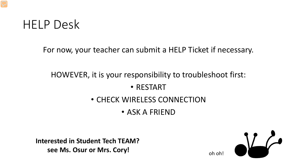

For now, your teacher can submit a HELP Ticket if necessary.

### HOWEVER, it is your responsibility to troubleshoot first: • RESTART • CHECK WIRELESS CONNECTION • ASK A FRIEND

**Interested in Student Tech TEAM? see Ms. Osur or Mrs. Cory!**



oh oh!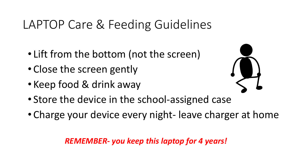# LAPTOP Care & Feeding Guidelines

- Lift from the bottom (not the screen)
- Close the screen gently
- Keep food & drink away



- Store the device in the school-assigned case
- Charge your device every night- leave charger at home

*REMEMBER- you keep this laptop for 4 years!*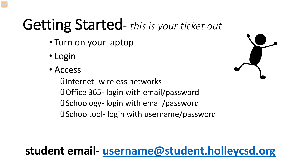# Getting Started- *this is your ticket out*

- Turn on your laptop
- Login
- Access

üInternet- wireless networks üOffice 365- login with email/password üSchoology- login with email/password üSchooltool- login with username/password



## **student email- [username@student.holleycsd.org](mailto:username@student.holleycsd.org)**